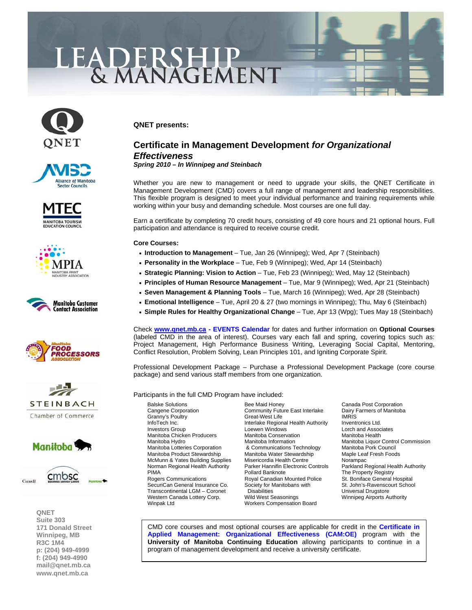# LEADERSHIP<br>& MANAGEMENT



















**QNET Suite 303 171 Donald Street Winnipeg, MB R3C 1M4 p: (204) 949-4999 f: (204) 949-4990 [mail@qnet.mb.ca](mailto:mail@qnet.mb.ca)  [www.qnet.mb.ca](http://www.qnet.mb.ca)** 

## **QNET presents:**

# **Certificate in Management Development** *for Organizational Effectiveness*

*Spring 2010 – In Winnipeg and Steinbach* 

Whether you are new to management or need to upgrade your skills, the QNET Certificate in Management Development (CMD) covers a full range of management and leadership responsibilities. This flexible program is designed to meet your individual performance and training requirements while working within your busy and demanding schedule. Most courses are one full day.

Earn a certificate by completing 70 credit hours, consisting of 49 core hours and 21 optional hours. Full participation and attendance is required to receive course credit.

### **Core Courses:**

- **Introduction to Management** Tue, Jan 26 (Winnipeg); Wed, Apr 7 (Steinbach)
- **Personality in the Workplace**  Tue, Feb 9 (Winnipeg); Wed, Apr 14 (Steinbach)
- **Strategic Planning: Vision to Action** Tue, Feb 23 (Winnipeg); Wed, May 12 (Steinbach)
- **Principles of Human Resource Management** Tue, Mar 9 (Winnipeg); Wed, Apr 21 (Steinbach)
- **Seven Management & Planning Tools** Tue, March 16 (Winnipeg); Wed, Apr 28 (Steinbach)
- **Emotional Intelligence** Tue, April 20 & 27 (two mornings in Winnipeg); Thu, May 6 (Steinbach)
- **Simple Rules for Healthy Organizational Change** Tue, Apr 13 (Wpg); Tues May 18 (Steinbach)

Check **[www.qnet.mb.ca -](http://www.qnet.mb.ca) [EVENTS Calendar](http://www.qnet.mb.ca/events2006/events.htm)** for dates and further information on **Optional Courses** (labeled CMD in the area of interest). Courses vary each fall and spring, covering topics such as: Project Management, High Performance Business Writing, Leveraging Social Capital, Mentoring, Conflict Resolution, Problem Solving, Lean Principles 101, and Igniting Corporate Spirit.

Professional Development Package – Purchase a Professional Development Package (core course package) and send various staff members from one organization.

Participants in the full CMD Program have included:

Balske Solutions **Bee Maid Honey** Canada Post Corporation<br>Cangene Corporation Community Future East Interlake Dairy Farmers of Manitoba Manitoba Chicken Producers Manitoba Product Stewardship Western Canada Lottery Corp. Wild West Seasonings Winnipeg Airports Authority<br>Winnipeg Airports Authority Workers Compensation Board

Community Future East Interlake Granny's Poultry **Great-West Life** IMRIS IMRIS<br>InfoTech Inc. **Interlake Regional Health Authority** Inventronics Ltd. InfoTech Inc. **Interlake Regional Health Authority**<br>Investors Group **Interlake Loewen Windows** Loewen Windows **Lorch and Associates**<br>
Manitoba Conservation<br>
Manitoba Health & Communications Technology Manitoba Pork Council<br>Manitoba Water Stewardship Maple Leaf Fresh Foods McMunn & Yates Building Supplies Misericordia Health Centre Norampac PIMA<br>
Pollard Banknote The Property Registry<br>
Rogers Communications The Royal Canadian Mounted Police The St. Boniface General Hospital Royal Canadian Mounted Police SecuriCan General Insurance Co. Society for Manitobans with St. John's-Ravenscourt School Transcontinental LGM – Coronet Disabilities **Disabilities** Universal Drugstore Workers Compensation Board

Manitoba Hydro **Manitoba Manitoba Information** Manitoba Liquor Control Commission<br>Manitoba Lotteries Corporation **6** & Communications Technology Manitoba Pork Council Norman Regional Health Authority Parker Hannifin Electronic Controls Parkland Regional Health Authority<br>PIMA Poperty Registry

CMD core courses and most optional courses are applicable for credit in the **Certificate in Applied Management: Organizational Effectiveness (CAM:OE)** program with the **University of Manitoba Continuing Education** allowing participants to continue in a [program of management development and receive a university certificate.](http://www.qnet.mb.ca/events2003/events_cert%20in%20applied%20mgmt.htm)